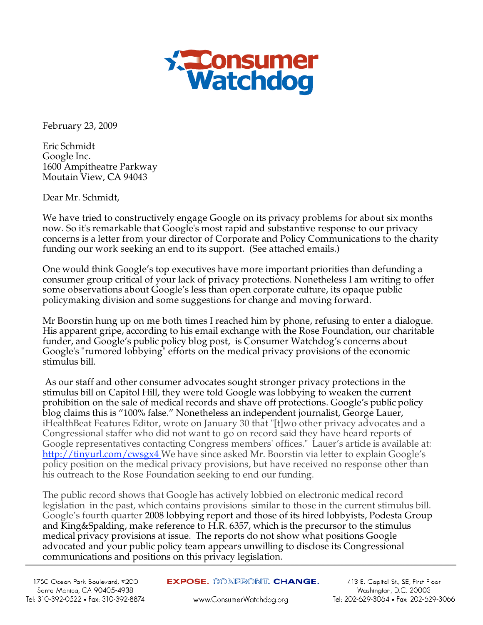

February 23, 2009

Eric Schmidt Google Inc. 1600 Ampitheatre Parkway Moutain View, CA 94043

Dear Mr. Schmidt,

We have tried to constructively engage Google on its privacy problems for about six months now. So it's remarkable that Google's most rapid and substantive response to our privacy concerns is a letter from your director of Corporate and Policy Communications to the charity funding our work seeking an end to its support. (See attached emails.)

One would think Google's top executives have more important priorities than defunding a consumer group critical of your lack of privacy protections. Nonetheless I am writing to offer some observations about Google's less than open corporate culture, its opaque public policymaking division and some suggestions for change and moving forward.

Mr Boorstin hung up on me both times I reached him by phone, refusing to enter a dialogue. His apparent gripe, according to his email exchange with the Rose Foundation, our charitable funder, and Google's public policy blog post, is Consumer Watchdog's concerns about Google's "rumored lobbying" efforts on the medical privacy provisions of the economic stimulus bill.

 As our staff and other consumer advocates sought stronger privacy protections in the stimulus bill on Capitol Hill, they were told Google was lobbying to weaken the current prohibition on the sale of medical records and shave off protections. Google's public policy blog claims this is "100% false." Nonetheless an independent journalist, George Lauer, iHealthBeat Features Editor, wrote on January 30 that "[t]wo other privacy advocates and a Congressional staffer who did not want to go on record said they have heard reports of Google representatives contacting Congress members' offices." Lauer's article is available at: http://tinyurl.com/cwsgx4 We have since asked Mr. Boorstin via letter to explain Google's policy position on the medical privacy provisions, but have received no response other than his outreach to the Rose Foundation seeking to end our funding.

The public record shows that Google has actively lobbied on electronic medical record legislation in the past, which contains provisions similar to those in the current stimulus bill. Google's fourth quarter 2008 lobbying report and those of its hired lobbyists, Podesta Group and King&Spalding, make reference to H.R. 6357, which is the precursor to the stimulus medical privacy provisions at issue. The reports do not show what positions Google advocated and your public policy team appears unwilling to disclose its Congressional communications and positions on this privacy legislation.

413 E. Capitol St., SE, First Floor Washington, D.C. 20003 Tel: 202-629-3064 · Fax: 202-629-3066

www.ConsumerWatchdog.org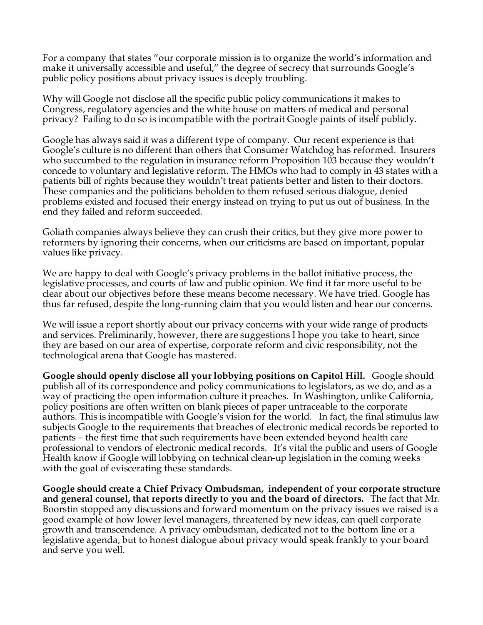For a company that states "our corporate mission is to organize the world's information and make it universally accessible and useful," the degree of secrecy that surrounds Google's public policy positions about privacy issues is deeply troubling.

Why will Google not disclose all the specific public policy communications it makes to Congress, regulatory agencies and the white house on matters of medical and personal privacy? Failing to do so is incompatible with the portrait Google paints of itself publicly.

Google has always said it was a different type of company. Our recent experience is that Google's culture is no different than others that Consumer Watchdog has reformed. Insurers who succumbed to the regulation in insurance reform Proposition 103 because they wouldn't concede to voluntary and legislative reform. The HMOs who had to comply in 43 states with a patients bill of rights because they wouldn't treat patients better and listen to their doctors. These companies and the politicians beholden to them refused serious dialogue, denied problems existed and focused their energy instead on trying to put us out of business. In the end they failed and reform succeeded.

Goliath companies always believe they can crush their critics, but they give more power to reformers by ignoring their concerns, when our criticisms are based on important, popular values like privacy.

We are happy to deal with Google's privacy problems in the ballot initiative process, the legislative processes, and courts of law and public opinion. We find it far more useful to be clear about our objectives before these means become necessary. We have tried. Google has thus far refused, despite the long-running claim that you would listen and hear our concerns.

We will issue a report shortly about our privacy concerns with your wide range of products and services. Preliminarily, however, there are suggestions I hope you take to heart, since they are based on our area of expertise, corporate reform and civic responsibility, not the technological arena that Google has mastered.

**Google should openly disclose all your lobbying positions on Capitol Hill.** Google should publish all of its correspondence and policy communications to legislators, as we do, and as a way of practicing the open information culture it preaches. In Washington, unlike California, policy positions are often written on blank pieces of paper untraceable to the corporate authors. This is incompatible with Google's vision for the world. In fact, the final stimulus law subjects Google to the requirements that breaches of electronic medical records be reported to patients – the first time that such requirements have been extended beyond health care professional to vendors of electronic medical records. It's vital the public and users of Google Health know if Google will lobbying on technical clean-up legislation in the coming weeks with the goal of eviscerating these standards.

**Google should create a Chief Privacy Ombudsman, independent of your corporate structure and general counsel, that reports directly to you and the board of directors.** The fact that Mr. Boorstin stopped any discussions and forward momentum on the privacy issues we raised is a good example of how lower level managers, threatened by new ideas, can quell corporate growth and transcendence. A privacy ombudsman, dedicated not to the bottom line or a legislative agenda, but to honest dialogue about privacy would speak frankly to your board and serve you well.